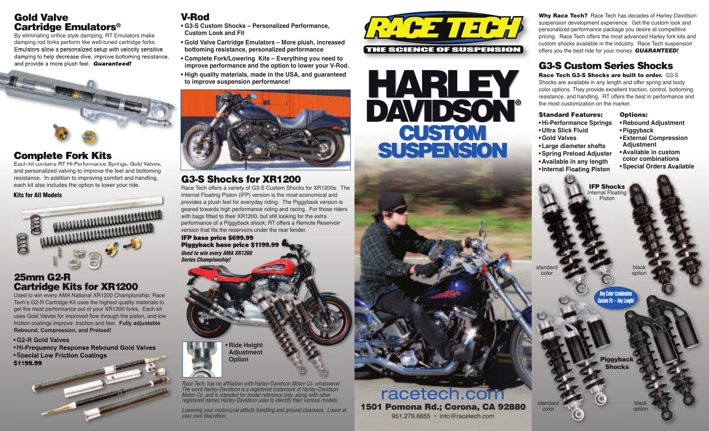#### Gold Valve Cartridge Emulators®

By eliminating orifice style damping, RT Emulators make damping rod forks perform like well-tuned cartridge forks. Emulators allow a personalized setup with velocity sensitive damping to help decrease dive, improve bottoming resistance, and provide a more plush feel. Guaranteed!



### **Complete Fork Kits**

Each kit contains RT Hi-Performance Springs, Gold Valves, and personalized valving to improve the feel and bottoming resistance. In addition to improving comfort and handling, each kit also includes the option to lower your ride.

#### Kits for All Models



#### 25mm G2-R Cartridge Kits for XR1200

Used to win every AMA National XR1200 Championship; Race Tech's G2-R Cartridge Kit uses the highest quality materials to get the most performance out of your XR1200 forks. Each kit uses Gold Valves for improved flow through the piston, and low friction coatings improve traction and feel. **Fully adjustable Rebound, Compression, and Preload!**

#### **•G2-R Gold Valves • Hi-Frequency Response Rebound Gold Valves**





- **• G3-S Custom Shocks – Personalized Performance, Custom Look and Fit**
- **• Gold Valve Cartridge Emulators – More plush, increased bottoming resistance, personalized performance**
- **• Complete Fork/Lowering Kits – Everything you need to improve performance and the option to lower your V-Rod.**
- **• High quality materials, made in the USA, and guaranteed to improve suspension performance!**



## G3-S Shocks for XR1200

Race Tech offers a variety of G3-S Custom Shocks for XR1200s. The Internal Floating Piston (IFP) version is the most economical and provides a plush feel for everyday riding. The Piggyback version is geared towards high performance riding and racing. For those riders with bags fitted to their XR1200, but still looking for the extra performance of a Piggyback shock; RT offers a Remote Reservoir version that fits the reservoirs under the rear fender. IFP base price \$699.99

Piggyback base price \$1199.99 Used to win every AMA XR1200 Series Championship!

> **• Ride Height Adjustment Option**

Race Tech, has no affiliation with Harley-Davidson Motor Co. whatsoever. The word Harley-Davidson is a registered trademark of Harley-Davidson Motor Co. and is intended for model reference only, along with other registered names Harley-Davidson uses to identify their various models.

Lowering your motorcycle affects handling and ground clearance. Lower at your own discretion.





racetech.com

951.279.6655 • info@racetech.com

Why Race Tech? Race Tech has decades of Harley-Davidson suspension development experience. Get the custom look and personalized performance package you desire at competitive pricing. Race Tech offers the most advanced Harley fork kits and custom shocks available in the industry. Race Tech suspension offers you the best ride for your money. **GUARANTEED!** 

# G3-S Custom Series Shocks

Race Tech G3-S Shocks are built to order. G3-S

Shocks are available in any length and offer spring and body color options. They provide excellent traction, control, bottoming resistance, and handling. RT offers the best in performance and the most customization on the market.

Standard Features: **• Hi-Performance Springs • Ultra Slick Fluid •Gold Valves •Large diameter shafts •Spring Preload Adjuster • Available in any length •Internal Floating Piston**

Options: **• Rebound Adjustment •Piggyback •External Compression Adjustment •Available in custom color combinations •Special Orders Available**